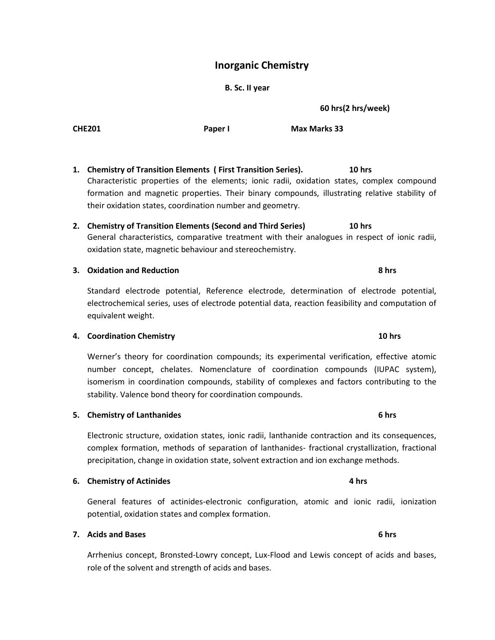## **Inorganic Chemistry**

### **B. Sc. II year**

**60 hrs(2 hrs/week)**

**1. Chemistry of Transition Elements ( First Transition Series). 10 hrs** Characteristic properties of the elements; ionic radii, oxidation states, complex compound formation and magnetic properties. Their binary compounds, illustrating relative stability of their oxidation states, coordination number and geometry.

**2. Chemistry of Transition Elements (Second and Third Series) 10 hrs** General characteristics, comparative treatment with their analogues in respect of ionic radii, oxidation state, magnetic behaviour and stereochemistry.

### **3. Oxidation and Reduction 8 hrs**

Standard electrode potential, Reference electrode, determination of electrode potential, electrochemical series, uses of electrode potential data, reaction feasibility and computation of equivalent weight.

### **4. Coordination Chemistry 10 hrs**

Werner's theory for coordination compounds; its experimental verification, effective atomic number concept, chelates. Nomenclature of coordination compounds (IUPAC system), isomerism in coordination compounds, stability of complexes and factors contributing to the stability. Valence bond theory for coordination compounds.

Electronic structure, oxidation states, ionic radii, lanthanide contraction and its consequences, complex formation, methods of separation of lanthanides- fractional crystallization, fractional precipitation, change in oxidation state, solvent extraction and ion exchange methods.

### **6. Chemistry of Actinides 4 hrs**

General features of actinides-electronic configuration, atomic and ionic radii, ionization potential, oxidation states and complex formation.

### **7. Acids and Bases 6 hrs**

Arrhenius concept, Bronsted-Lowry concept, Lux-Flood and Lewis concept of acids and bases, role of the solvent and strength of acids and bases.

### **5. Chemistry of Lanthanides 6 hrs**

# **CHE201 Paper I Max Marks 33**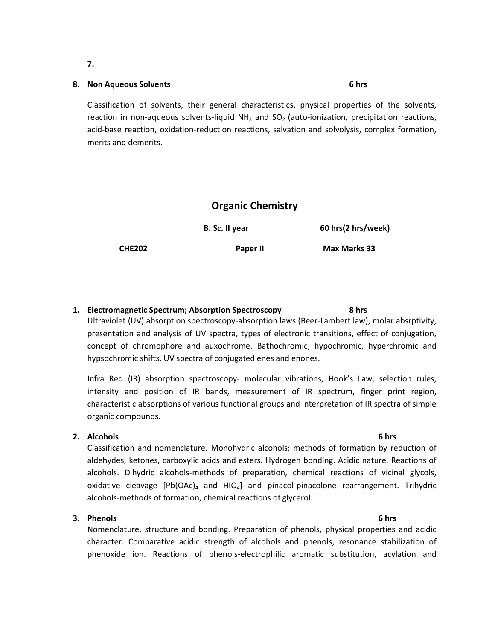## **8. Non Aqueous Solvents 6 hrs**

Classification of solvents, their general characteristics, physical properties of the solvents, reaction in non-aqueous solvents-liquid  $NH<sub>3</sub>$  and SO<sub>2</sub> (auto-ionization, precipitation reactions, acid-base reaction, oxidation-reduction reactions, salvation and solvolysis, complex formation, merits and demerits.

## **Organic Chemistry**

**B. Sc. II year 60 hrs(2 hrs/week)** 

**CHE202 Paper II Max Marks 33**

## **1. Electromagnetic Spectrum; Absorption Spectroscopy 8 hrs**

Ultraviolet (UV) absorption spectroscopy-absorption laws (Beer-Lambert law), molar absrptivity, presentation and analysis of UV spectra, types of electronic transitions, effect of conjugation, concept of chromophore and auxochrome. Bathochromic, hypochromic, hyperchromic and hypsochromic shifts. UV spectra of conjugated enes and enones.

Infra Red (IR) absorption spectroscopy- molecular vibrations, Hook's Law, selection rules, intensity and position of IR bands, measurement of IR spectrum, finger print region, characteristic absorptions of various functional groups and interpretation of IR spectra of simple organic compounds.

### **2. Alcohols 6 hrs**

Classification and nomenclature. Monohydric alcohols; methods of formation by reduction of aldehydes, ketones, carboxylic acids and esters. Hydrogen bonding. Acidic nature. Reactions of alcohols. Dihydric alcohols-methods of preparation, chemical reactions of vicinal glycols, oxidative cleavage  $[Pb(OAc)]_4$  and  $HIO_4]$  and pinacol-pinacolone rearrangement. Trihydric alcohols-methods of formation, chemical reactions of glycerol.

### **3. Phenols 6 hrs**

Nomenclature, structure and bonding. Preparation of phenols, physical properties and acidic character. Comparative acidic strength of alcohols and phenols, resonance stabilization of phenoxide ion. Reactions of phenols-electrophilic aromatic substitution, acylation and

**7.**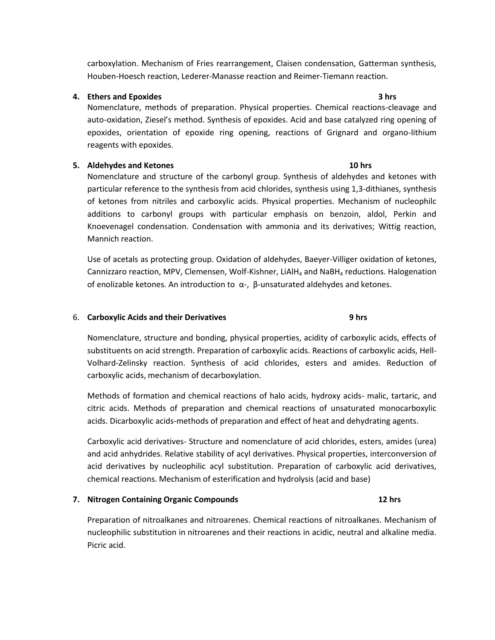carboxylation. Mechanism of Fries rearrangement, Claisen condensation, Gatterman synthesis, Houben-Hoesch reaction, Lederer-Manasse reaction and Reimer-Tiemann reaction.

### **4. Ethers and Epoxides 3 hrs**

Nomenclature, methods of preparation. Physical properties. Chemical reactions-cleavage and auto-oxidation, Ziesel's method. Synthesis of epoxides. Acid and base catalyzed ring opening of epoxides, orientation of epoxide ring opening, reactions of Grignard and organo-lithium reagents with epoxides.

### **5. Aldehydes and Ketones 10 hrs**

Nomenclature and structure of the carbonyl group. Synthesis of aldehydes and ketones with particular reference to the synthesis from acid chlorides, synthesis using 1,3-dithianes, synthesis of ketones from nitriles and carboxylic acids. Physical properties. Mechanism of nucleophilc additions to carbonyl groups with particular emphasis on benzoin, aldol, Perkin and Knoevenagel condensation. Condensation with ammonia and its derivatives; Wittig reaction, Mannich reaction.

Use of acetals as protecting group. Oxidation of aldehydes, Baeyer-Villiger oxidation of ketones, Cannizzaro reaction, MPV, Clemensen, Wolf-Kishner, LiAlH<sub>4</sub> and NaBH<sub>4</sub> reductions. Halogenation of enolizable ketones. An introduction to  $\alpha$ -, β-unsaturated aldehydes and ketones.

### 6. **Carboxylic Acids and their Derivatives 9 hrs**

Nomenclature, structure and bonding, physical properties, acidity of carboxylic acids, effects of substituents on acid strength. Preparation of carboxylic acids. Reactions of carboxylic acids, Hell-Volhard-Zelinsky reaction. Synthesis of acid chlorides, esters and amides. Reduction of carboxylic acids, mechanism of decarboxylation.

Methods of formation and chemical reactions of halo acids, hydroxy acids- malic, tartaric, and citric acids. Methods of preparation and chemical reactions of unsaturated monocarboxylic acids. Dicarboxylic acids-methods of preparation and effect of heat and dehydrating agents.

Carboxylic acid derivatives- Structure and nomenclature of acid chlorides, esters, amides (urea) and acid anhydrides. Relative stability of acyl derivatives. Physical properties, interconversion of acid derivatives by nucleophilic acyl substitution. Preparation of carboxylic acid derivatives, chemical reactions. Mechanism of esterification and hydrolysis (acid and base)

### **7. Nitrogen Containing Organic Compounds 12 hrs**

## Preparation of nitroalkanes and nitroarenes. Chemical reactions of nitroalkanes. Mechanism of nucleophilic substitution in nitroarenes and their reactions in acidic, neutral and alkaline media. Picric acid.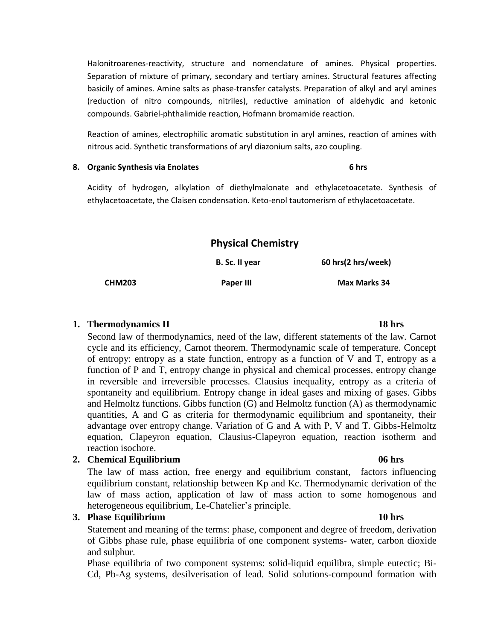Halonitroarenes-reactivity, structure and nomenclature of amines. Physical properties. Separation of mixture of primary, secondary and tertiary amines. Structural features affecting basicily of amines. Amine salts as phase-transfer catalysts. Preparation of alkyl and aryl amines (reduction of nitro compounds, nitriles), reductive amination of aldehydic and ketonic compounds. Gabriel-phthalimide reaction, Hofmann bromamide reaction.

Reaction of amines, electrophilic aromatic substitution in aryl amines, reaction of amines with nitrous acid. Synthetic transformations of aryl diazonium salts, azo coupling.

### **8. Organic Synthesis via Enolates 6 hrs**

Acidity of hydrogen, alkylation of diethylmalonate and ethylacetoacetate. Synthesis of ethylacetoacetate, the Claisen condensation. Keto-enol tautomerism of ethylacetoacetate.

| <b>Physical Chemistry</b> |                |                     |  |
|---------------------------|----------------|---------------------|--|
|                           | B. Sc. II year | 60 hrs(2 hrs/week)  |  |
| <b>CHM203</b>             | Paper III      | <b>Max Marks 34</b> |  |

## **1. Thermodynamics II 18 hrs**

Second law of thermodynamics, need of the law, different statements of the law. Carnot cycle and its efficiency, Carnot theorem. Thermodynamic scale of temperature. Concept of entropy: entropy as a state function, entropy as a function of V and T, entropy as a function of P and T, entropy change in physical and chemical processes, entropy change in reversible and irreversible processes. Clausius inequality, entropy as a criteria of spontaneity and equilibrium. Entropy change in ideal gases and mixing of gases. Gibbs and Helmoltz functions. Gibbs function (G) and Helmoltz function (A) as thermodynamic quantities, A and G as criteria for thermodynamic equilibrium and spontaneity, their advantage over entropy change. Variation of G and A with P, V and T. Gibbs-Helmoltz equation, Clapeyron equation, Clausius-Clapeyron equation, reaction isotherm and reaction isochore.

## **2. Chemical Equilibrium 06 hrs**

The law of mass action, free energy and equilibrium constant, factors influencing equilibrium constant, relationship between Kp and Kc. Thermodynamic derivation of the law of mass action, application of law of mass action to some homogenous and heterogeneous equilibrium, Le-Chatelier's principle.

## **3. Phase Equilibrium 10 hrs**

Statement and meaning of the terms: phase, component and degree of freedom, derivation of Gibbs phase rule, phase equilibria of one component systems- water, carbon dioxide and sulphur.

Phase equilibria of two component systems: solid-liquid equilibra, simple eutectic; Bi-Cd, Pb-Ag systems, desilverisation of lead. Solid solutions-compound formation with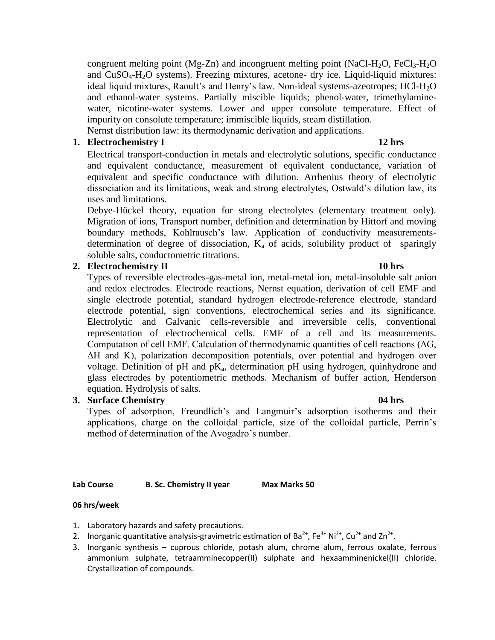congruent melting point (Mg-Zn) and incongruent melting point (NaCl-H<sub>2</sub>O, FeCl<sub>3</sub>-H<sub>2</sub>O and CuSO4-H2O systems). Freezing mixtures, acetone- dry ice. Liquid-liquid mixtures: ideal liquid mixtures, Raoult's and Henry's law. Non-ideal systems-azeotropes; HCl-H<sub>2</sub>O and ethanol-water systems. Partially miscible liquids; phenol-water, trimethylaminewater, nicotine-water systems. Lower and upper consolute temperature. Effect of impurity on consolute temperature; immiscible liquids, steam distillation. Nernst distribution law: its thermodynamic derivation and applications.

## **1. Electrochemistry I 12 hrs**

Electrical transport-conduction in metals and electrolytic solutions, specific conductance and equivalent conductance, measurement of equivalent conductance, variation of equivalent and specific conductance with dilution. Arrhenius theory of electrolytic dissociation and its limitations, weak and strong electrolytes, Ostwald's dilution law, its uses and limitations.

Debye-Hückel theory, equation for strong electrolytes (elementary treatment only). Migration of ions, Transport number, definition and determination by Hittorf and moving boundary methods, Kohlrausch's law. Application of conductivity measurementsdetermination of degree of dissociation,  $K_a$  of acids, solubility product of sparingly soluble salts, conductometric titrations.

## **2. Electrochemistry II 10 hrs**

Types of reversible electrodes-gas-metal ion, metal-metal ion, metal-insoluble salt anion and redox electrodes. Electrode reactions, Nernst equation, derivation of cell EMF and single electrode potential, standard hydrogen electrode-reference electrode, standard electrode potential, sign conventions, electrochemical series and its significance. Electrolytic and Galvanic cells-reversible and irreversible cells, conventional representation of electrochemical cells. EMF of a cell and its measurements. Computation of cell EMF. Calculation of thermodynamic quantities of cell reactions (ΔG, ΔH and K), polarization decomposition potentials, over potential and hydrogen over voltage. Definition of pH and  $pK_a$ , determination pH using hydrogen, quinhydrone and glass electrodes by potentiometric methods. Mechanism of buffer action, Henderson equation. Hydrolysis of salts.

# **3. Surface Chemistry 04 hrs**

Types of adsorption, Freundlich's and Langmuir's adsorption isotherms and their applications, charge on the colloidal particle, size of the colloidal particle, Perrin's method of determination of the Avogadro's number.

## **Lab Course B. Sc. Chemistry II year Max Marks 50**

## **06 hrs/week**

- 1. Laboratory hazards and safety precautions.
- 2. Inorganic quantitative analysis-gravimetric estimation of Ba<sup>2+</sup>, Fe<sup>3+</sup> Ni<sup>2+</sup>, Cu<sup>2+</sup> and Zn<sup>2+</sup>.
- 3. Inorganic synthesis cuprous chloride, potash alum, chrome alum, ferrous oxalate, ferrous ammonium sulphate, tetraamminecopper(II) sulphate and hexaamminenickel(II) chloride. Crystallization of compounds.